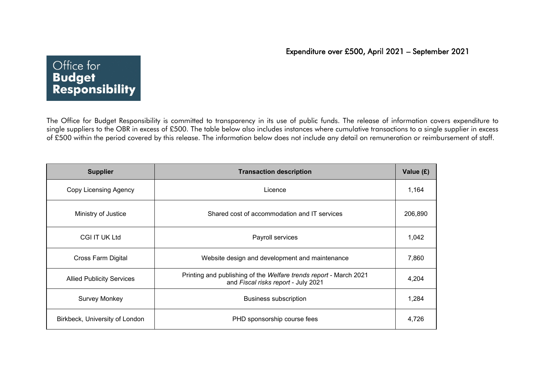## Office for **Budget Responsibility**

 The Office for Budget Responsibility is committed to transparency in its use of public funds. The release of information covers expenditure to single suppliers to the OBR in excess of £500. The table below also includes instances where cumulative transactions to a single supplier in excess of £500 within the period covered by this release. The information below does not include any detail on remuneration or reimbursement of staff.

| <b>Supplier</b>                  | <b>Transaction description</b>                                                                           | Value (£) |
|----------------------------------|----------------------------------------------------------------------------------------------------------|-----------|
| Copy Licensing Agency            | Licence                                                                                                  | 1,164     |
| Ministry of Justice              | Shared cost of accommodation and IT services                                                             | 206,890   |
| <b>CGI IT UK Ltd</b>             | Payroll services                                                                                         | 1,042     |
| <b>Cross Farm Digital</b>        | Website design and development and maintenance                                                           | 7,860     |
| <b>Allied Publicity Services</b> | Printing and publishing of the Welfare trends report - March 2021<br>and Fiscal risks report - July 2021 | 4,204     |
| <b>Survey Monkey</b>             | <b>Business subscription</b>                                                                             | 1,284     |
| Birkbeck, University of London   | PHD sponsorship course fees                                                                              | 4,726     |